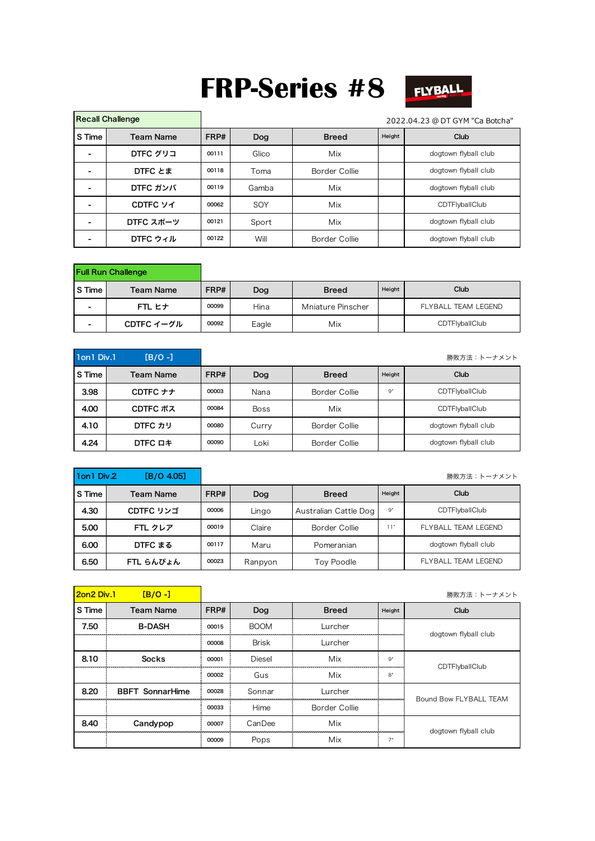## **FRP-Series #8**



| <b>Recall Challenge</b> |                  |       |            |                        |  | 2022.04.23 @ DT GYM "Ca Botcha" |
|-------------------------|------------------|-------|------------|------------------------|--|---------------------------------|
| S Time                  | <b>Team Name</b> | FRP#  | <b>Dog</b> | Height<br><b>Breed</b> |  | Club                            |
|                         | DTFC グリコ         | 00111 | Glico      | Mix                    |  | dogtown flyball club            |
|                         | DTFC とま          | 00118 | Toma       | Border Collie          |  | dogtown flyball club            |
|                         | DTFC ガンバ         | 00119 | Gamba      | Mix                    |  | dogtown flyball club            |
|                         | CDTFC ソイ         | 00062 | SOY        | Mix                    |  | CDTFlyballClub                  |
|                         | DTFC スポーツ        | 00121 | Sport      | Mix                    |  | dogtown flyball club            |
|                         | DTFC ウィル         | 00122 | Will       | Border Collie          |  | dogtown flyball club            |

|                          | <b>Full Run Challenge</b> |             |       |                   |        |                     |  |
|--------------------------|---------------------------|-------------|-------|-------------------|--------|---------------------|--|
| S Time                   | <b>Team Name</b>          | FRP#<br>Dog |       | <b>Breed</b>      | Height | Club                |  |
| $\overline{\phantom{0}}$ | FTL ヒナ                    | 00099       | Hina  | Mniature Pinscher |        | FLYBALL TEAM LEGEND |  |
| $\overline{\phantom{0}}$ | CDTFC イーグル                | 00092       | Eagle | Mix               |        | CDTFlyballClub      |  |

| 1on1 Div.1 | $[B/O -]$           |       |             |                        |    | 勝敗方法:トーナメント          |
|------------|---------------------|-------|-------------|------------------------|----|----------------------|
| S Time     | <b>Team Name</b>    | FRP#  | Dog         | Height<br><b>Breed</b> |    | Club                 |
| 3.98       | CDTFC $++$          | 00003 | Nana        | Border Collie          | 9" | CDTFlyballClub       |
| 4.00       | CDTFC ボス            | 00084 | <b>Boss</b> | Mix                    |    | CDTFlyballClub       |
| 4.10       | DTFC カリ             | 00080 | Curry       | Border Collie          |    | dogtown flyball club |
| 4.24       | DTFC D <sup>+</sup> | 00090 | Loki        | Border Collie          |    | dogtown flyball club |

| 1on1 Div.2 | [B/O 4.05]       |       |         |                       |                | 勝敗方法:トーナメント          |
|------------|------------------|-------|---------|-----------------------|----------------|----------------------|
| S Time     | <b>Team Name</b> | FRP#  | Dog     | <b>Breed</b>          | Height<br>Club |                      |
| 4.30       | CDTFC リンゴ        | 00006 | Lingo   | Australian Cattle Dog | 9"             | CDTFlyballClub       |
| 5.00       | FTL クレア          | 00019 | Claire  | Border Collie         | 11"            | FLYBALL TEAM LEGEND  |
| 6.00       | DTFC まる          | 00117 | Maru    | Pomeranian            |                | dogtown flyball club |
| 6.50       | FTL らんぴょん        | 00023 | Ranpyon | Toy Poodle            |                | FLYBALL TEAM LEGEND  |

| <b>2on2 Div.1</b> | $[B/O -]$              |       |              |               |        | 勝敗方法:トーナメント            |
|-------------------|------------------------|-------|--------------|---------------|--------|------------------------|
| S Time            | <b>Team Name</b>       | FRP#  | Dog          | <b>Breed</b>  | Height | Club                   |
| 7.50              | <b>B-DASH</b>          | 00015 | <b>BOOM</b>  | Lurcher       |        | dogtown flyball club   |
|                   |                        | 00008 | <b>Brisk</b> | Lurcher       |        |                        |
| 8.10              | <b>Socks</b>           | 00001 | Diesel       | Mix           | 9"     | CDTFlyballClub         |
|                   |                        | 00002 | Gus          | Mix           | 8"     |                        |
| 8.20              | <b>BBFT SonnarHime</b> | 00028 | Sonnar       | Lurcher       |        | Bound Bow FLYBALL TEAM |
|                   |                        | 00033 | Hime         | Border Collie |        |                        |
| 8.40              | Candypop               | 00007 | CanDee       | Mix           |        | dogtown flyball club   |
|                   |                        | 00009 | Pops         | Mix           |        |                        |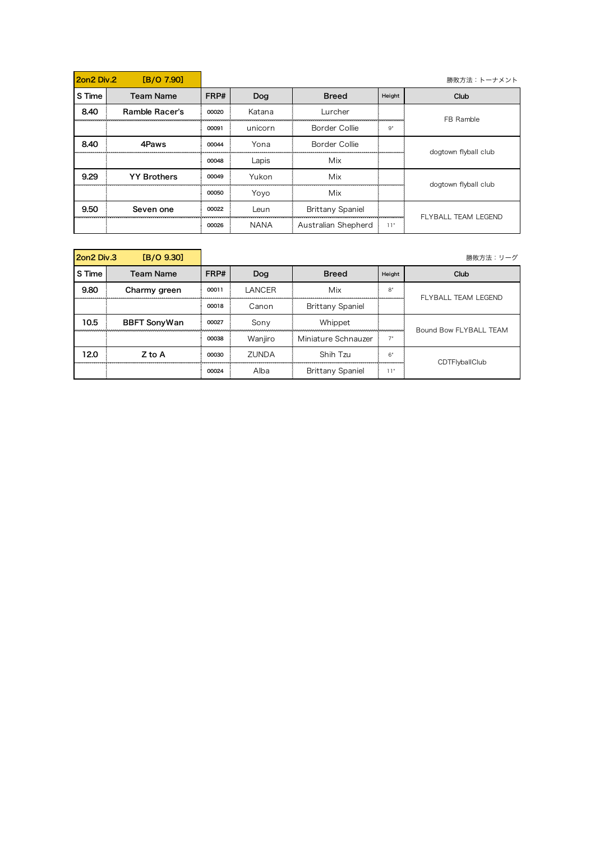| 2.on2 Div | [B/O 7.90]         |       |             |                         |        | 勝敗方法:トーナメント          |
|-----------|--------------------|-------|-------------|-------------------------|--------|----------------------|
| S Time    | <b>Team Name</b>   | FRP#  | Dog         | <b>Breed</b>            | Height | Club                 |
| 8.40      | Ramble Racer's     | 00020 | Katana      | Lurcher                 |        | FB Ramble            |
|           |                    | 00091 | unicorn     | Border Collie           | 9"     |                      |
| 8.40      | 4Paws              | 00044 | Yona        | Border Collie           |        | dogtown flyball club |
|           |                    | 00048 | Lapis       | Mix                     |        |                      |
| 9.29      | <b>YY Brothers</b> | 00049 | Yukon       | Mix                     |        | dogtown flyball club |
|           |                    | 00050 | Yoyo        | Mix                     |        |                      |
| 9.50      | Seven one          | 00022 | Leun        | <b>Brittany Spaniel</b> |        | FLYBALL TEAM LEGEND  |
|           |                    | 00026 | <b>NANA</b> | Australian Shepherd     | 11"    |                      |

| [B/O 9.30]<br>2on2 Div.3 |                     |       |                     |                         |             | 勝敗方法:リーグ               |  |
|--------------------------|---------------------|-------|---------------------|-------------------------|-------------|------------------------|--|
| S Time                   | <b>Team Name</b>    | FRP#  | <b>Breed</b><br>Dog |                         | Height      | Club                   |  |
| 9.80                     | Charmy green        | 00011 | LANCER              | Mix                     | $8^{\circ}$ | FLYBALL TEAM LEGEND    |  |
|                          |                     | 00018 | Canon               | <b>Brittany Spaniel</b> |             |                        |  |
| 10.5                     | <b>BBFT SonyWan</b> | 00027 | Sony                | Whippet                 |             | Bound Bow FLYBALL TEAM |  |
|                          |                     | 00038 | Wanjiro             | Miniature Schnauzer     |             |                        |  |
| 12.0                     | Z to A              | 00030 | ZUNDA               | Shih Tzu                | 6           | CDTFlyballClub         |  |
|                          |                     | 00024 | Alba                | <b>Brittany Spaniel</b> | 11"         |                        |  |